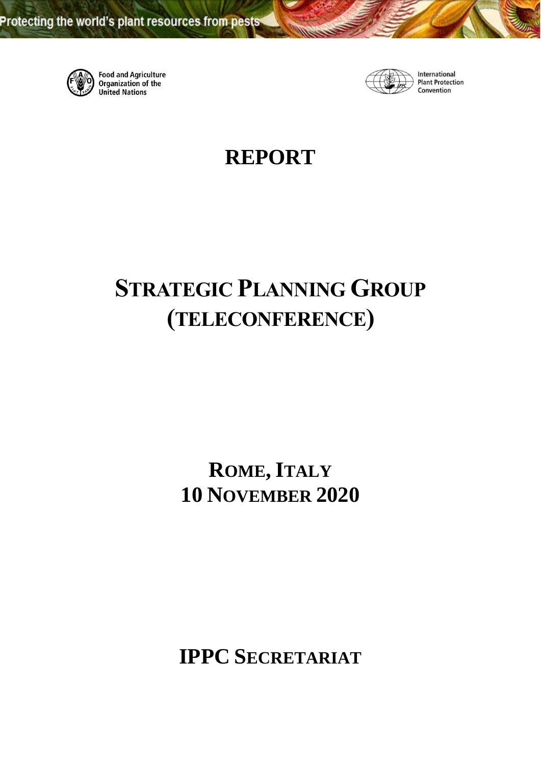

Food and Agriculture<br>Organization of the **United Nations** 



International **Plant Protection** Convention

## **REPORT**

# **STRATEGIC PLANNING GROUP (TELECONFERENCE)**

## **ROME, ITALY 10 NOVEMBER 2020**

**IPPC SECRETARIAT**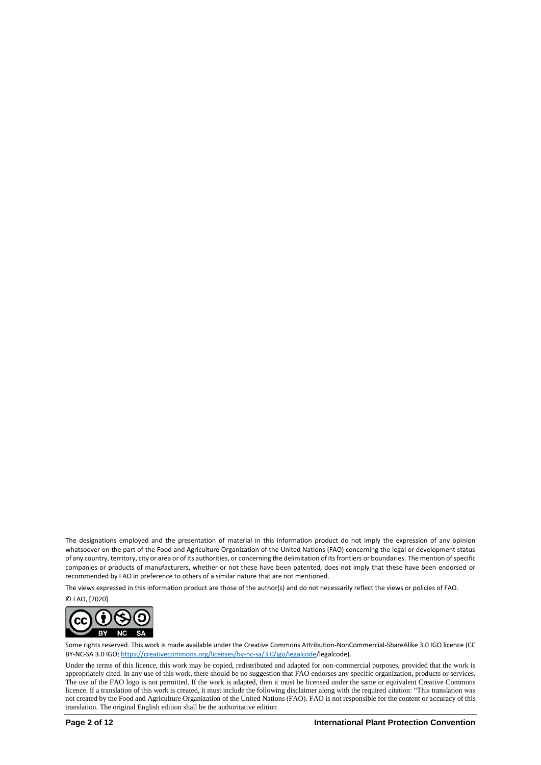The designations employed and the presentation of material in this information product do not imply the expression of any opinion whatsoever on the part of the Food and Agriculture Organization of the United Nations (FAO) concerning the legal or development status of any country, territory, city or area or of its authorities, or concerning the delimitation of its frontiers or boundaries. The mention of specific companies or products of manufacturers, whether or not these have been patented, does not imply that these have been endorsed or recommended by FAO in preference to others of a similar nature that are not mentioned.

The views expressed in this information product are those of the author(s) and do not necessarily reflect the views or policies of FAO.

© FAO, [2020]



Some rights reserved. This work is made available under the Creative Commons Attribution-NonCommercial-ShareAlike 3.0 IGO licence (CC BY-NC-SA 3.0 IGO[; https://creativecommons.org/licenses/by-nc-sa/3.0/igo/legalcode/](https://creativecommons.org/licenses/by-nc-sa/3.0/igo/legalcode)legalcode).

Under the terms of this licence, this work may be copied, redistributed and adapted for non-commercial purposes, provided that the work is appropriately cited. In any use of this work, there should be no suggestion that FAO endorses any specific organization, products or services. The use of the FAO logo is not permitted. If the work is adapted, then it must be licensed under the same or equivalent Creative Commons licence. If a translation of this work is created, it must include the following disclaimer along with the required citation: "This translation was not created by the Food and Agriculture Organization of the United Nations (FAO). FAO is not responsible for the content or accuracy of this translation. The original English edition shall be the authoritative edition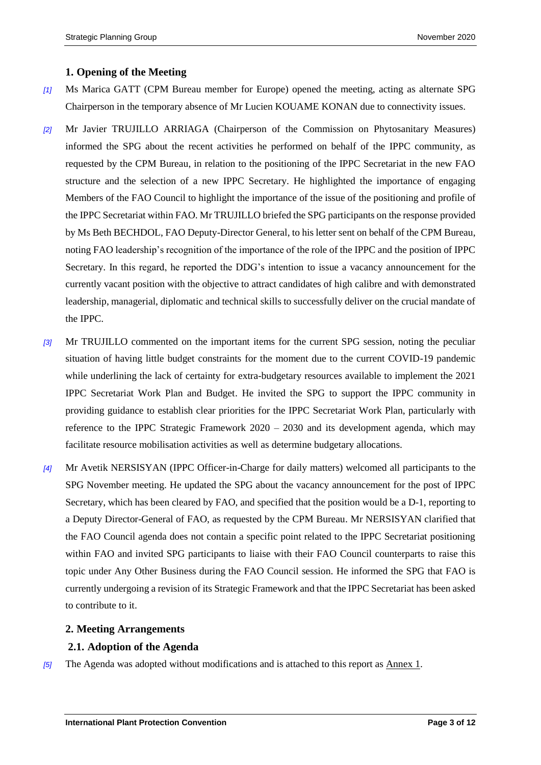#### **1. Opening of the Meeting**

- *[1]* Ms Marica GATT (CPM Bureau member for Europe) opened the meeting, acting as alternate SPG Chairperson in the temporary absence of Mr Lucien KOUAME KONAN due to connectivity issues.
- *[2]* Mr Javier TRUJILLO ARRIAGA (Chairperson of the Commission on Phytosanitary Measures) informed the SPG about the recent activities he performed on behalf of the IPPC community, as requested by the CPM Bureau, in relation to the positioning of the IPPC Secretariat in the new FAO structure and the selection of a new IPPC Secretary. He highlighted the importance of engaging Members of the FAO Council to highlight the importance of the issue of the positioning and profile of the IPPC Secretariat within FAO. Mr TRUJILLO briefed the SPG participants on the response provided by Ms Beth BECHDOL, FAO Deputy-Director General, to his letter sent on behalf of the CPM Bureau, noting FAO leadership's recognition of the importance of the role of the IPPC and the position of IPPC Secretary. In this regard, he reported the DDG's intention to issue a vacancy announcement for the currently vacant position with the objective to attract candidates of high calibre and with demonstrated leadership, managerial, diplomatic and technical skills to successfully deliver on the crucial mandate of the IPPC.
- *[3]* Mr TRUJILLO commented on the important items for the current SPG session, noting the peculiar situation of having little budget constraints for the moment due to the current COVID-19 pandemic while underlining the lack of certainty for extra-budgetary resources available to implement the 2021 IPPC Secretariat Work Plan and Budget. He invited the SPG to support the IPPC community in providing guidance to establish clear priorities for the IPPC Secretariat Work Plan, particularly with reference to the IPPC Strategic Framework 2020 – 2030 and its development agenda, which may facilitate resource mobilisation activities as well as determine budgetary allocations.
- *[4]* Mr Avetik NERSISYAN (IPPC Officer-in-Charge for daily matters) welcomed all participants to the SPG November meeting. He updated the SPG about the vacancy announcement for the post of IPPC Secretary, which has been cleared by FAO, and specified that the position would be a D-1, reporting to a Deputy Director-General of FAO, as requested by the CPM Bureau. Mr NERSISYAN clarified that the FAO Council agenda does not contain a specific point related to the IPPC Secretariat positioning within FAO and invited SPG participants to liaise with their FAO Council counterparts to raise this topic under Any Other Business during the FAO Council session. He informed the SPG that FAO is currently undergoing a revision of its Strategic Framework and that the IPPC Secretariat has been asked to contribute to it.

#### **2. Meeting Arrangements**

#### **2.1. Adoption of the Agenda**

*[5]* The Agenda was adopted without modifications and is attached to this report as Annex 1.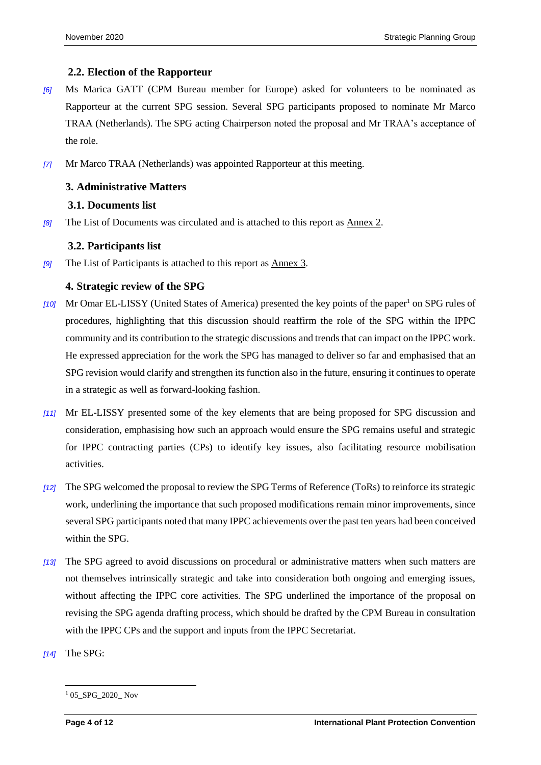#### **2.2. Election of the Rapporteur**

- *[6]* Ms Marica GATT (CPM Bureau member for Europe) asked for volunteers to be nominated as Rapporteur at the current SPG session. Several SPG participants proposed to nominate Mr Marco TRAA (Netherlands). The SPG acting Chairperson noted the proposal and Mr TRAA's acceptance of the role.
- *[7]* Mr Marco TRAA (Netherlands) was appointed Rapporteur at this meeting.

#### **3. Administrative Matters**

#### **3.1. Documents list**

*[8]* The List of Documents was circulated and is attached to this report as Annex 2.

#### **3.2. Participants list**

*[9]* The List of Participants is attached to this report as Annex 3.

#### **4. Strategic review of the SPG**

- *[10]* Mr Omar EL-LISSY (United States of America) presented the key points of the paper<sup>1</sup> on SPG rules of procedures, highlighting that this discussion should reaffirm the role of the SPG within the IPPC community and its contribution to the strategic discussions and trends that can impact on the IPPC work. He expressed appreciation for the work the SPG has managed to deliver so far and emphasised that an SPG revision would clarify and strengthen its function also in the future, ensuring it continues to operate in a strategic as well as forward-looking fashion.
- *[11]* Mr EL-LISSY presented some of the key elements that are being proposed for SPG discussion and consideration, emphasising how such an approach would ensure the SPG remains useful and strategic for IPPC contracting parties (CPs) to identify key issues, also facilitating resource mobilisation activities.
- *[12]* The SPG welcomed the proposal to review the SPG Terms of Reference (ToRs) to reinforce its strategic work, underlining the importance that such proposed modifications remain minor improvements, since several SPG participants noted that many IPPC achievements over the past ten years had been conceived within the SPG.
- *[13]* The SPG agreed to avoid discussions on procedural or administrative matters when such matters are not themselves intrinsically strategic and take into consideration both ongoing and emerging issues, without affecting the IPPC core activities. The SPG underlined the importance of the proposal on revising the SPG agenda drafting process, which should be drafted by the CPM Bureau in consultation with the IPPC CPs and the support and inputs from the IPPC Secretariat.
- *[14]* The SPG:

<sup>1</sup> <sup>1</sup> 05\_SPG\_2020\_ Nov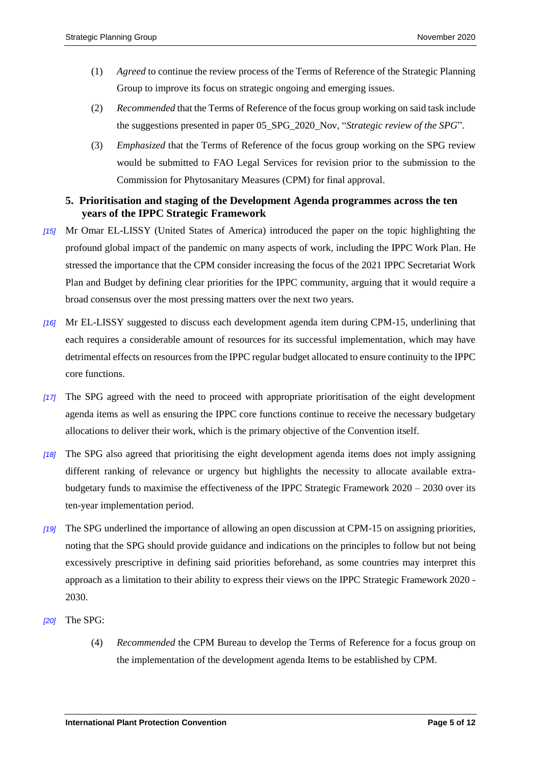- (1) *Agreed* to continue the review process of the Terms of Reference of the Strategic Planning Group to improve its focus on strategic ongoing and emerging issues.
- (2) *Recommended* that the Terms of Reference of the focus group working on said task include the suggestions presented in paper 05\_SPG\_2020\_Nov, "*Strategic review of the SPG*".
- (3) *Emphasized* that the Terms of Reference of the focus group working on the SPG review would be submitted to FAO Legal Services for revision prior to the submission to the Commission for Phytosanitary Measures (CPM) for final approval.

#### **5. Prioritisation and staging of the Development Agenda programmes across the ten years of the IPPC Strategic Framework**

- *[15]* Mr Omar EL-LISSY (United States of America) introduced the paper on the topic highlighting the profound global impact of the pandemic on many aspects of work, including the IPPC Work Plan. He stressed the importance that the CPM consider increasing the focus of the 2021 IPPC Secretariat Work Plan and Budget by defining clear priorities for the IPPC community, arguing that it would require a broad consensus over the most pressing matters over the next two years.
- *[16]* Mr EL-LISSY suggested to discuss each development agenda item during CPM-15, underlining that each requires a considerable amount of resources for its successful implementation, which may have detrimental effects on resources from the IPPC regular budget allocated to ensure continuity to the IPPC core functions.
- *[17]* The SPG agreed with the need to proceed with appropriate prioritisation of the eight development agenda items as well as ensuring the IPPC core functions continue to receive the necessary budgetary allocations to deliver their work, which is the primary objective of the Convention itself.
- *[18]* The SPG also agreed that prioritising the eight development agenda items does not imply assigning different ranking of relevance or urgency but highlights the necessity to allocate available extrabudgetary funds to maximise the effectiveness of the IPPC Strategic Framework 2020 – 2030 over its ten-year implementation period.
- *[19]* The SPG underlined the importance of allowing an open discussion at CPM-15 on assigning priorities, noting that the SPG should provide guidance and indications on the principles to follow but not being excessively prescriptive in defining said priorities beforehand, as some countries may interpret this approach as a limitation to their ability to express their views on the IPPC Strategic Framework 2020 - 2030.
- *[20]* The SPG:
	- (4) *Recommended* the CPM Bureau to develop the Terms of Reference for a focus group on the implementation of the development agenda Items to be established by CPM.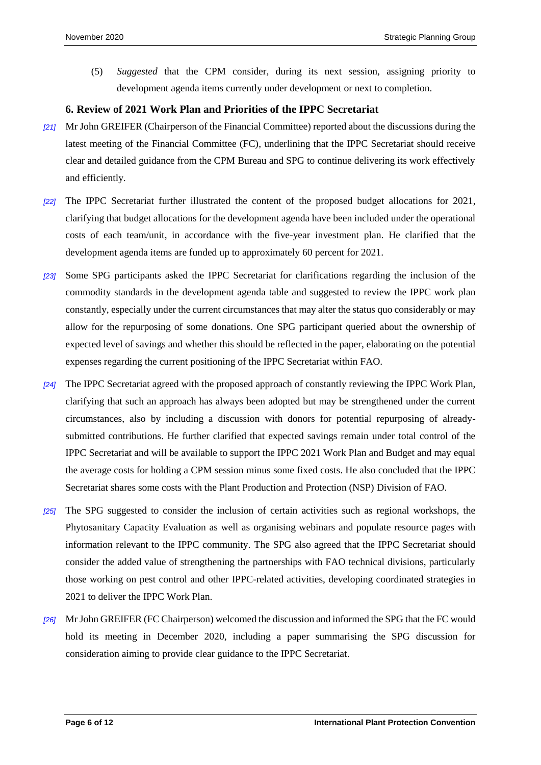(5) *Suggested* that the CPM consider, during its next session, assigning priority to development agenda items currently under development or next to completion.

#### **6. Review of 2021 Work Plan and Priorities of the IPPC Secretariat**

- *[21]* Mr John GREIFER (Chairperson of the Financial Committee) reported about the discussions during the latest meeting of the Financial Committee (FC), underlining that the IPPC Secretariat should receive clear and detailed guidance from the CPM Bureau and SPG to continue delivering its work effectively and efficiently.
- *[22]* The IPPC Secretariat further illustrated the content of the proposed budget allocations for 2021, clarifying that budget allocations for the development agenda have been included under the operational costs of each team/unit, in accordance with the five-year investment plan. He clarified that the development agenda items are funded up to approximately 60 percent for 2021.
- *[23]* Some SPG participants asked the IPPC Secretariat for clarifications regarding the inclusion of the commodity standards in the development agenda table and suggested to review the IPPC work plan constantly, especially under the current circumstances that may alter the status quo considerably or may allow for the repurposing of some donations. One SPG participant queried about the ownership of expected level of savings and whether this should be reflected in the paper, elaborating on the potential expenses regarding the current positioning of the IPPC Secretariat within FAO.
- *[24]* The IPPC Secretariat agreed with the proposed approach of constantly reviewing the IPPC Work Plan, clarifying that such an approach has always been adopted but may be strengthened under the current circumstances, also by including a discussion with donors for potential repurposing of alreadysubmitted contributions. He further clarified that expected savings remain under total control of the IPPC Secretariat and will be available to support the IPPC 2021 Work Plan and Budget and may equal the average costs for holding a CPM session minus some fixed costs. He also concluded that the IPPC Secretariat shares some costs with the Plant Production and Protection (NSP) Division of FAO.
- *[25]* The SPG suggested to consider the inclusion of certain activities such as regional workshops, the Phytosanitary Capacity Evaluation as well as organising webinars and populate resource pages with information relevant to the IPPC community. The SPG also agreed that the IPPC Secretariat should consider the added value of strengthening the partnerships with FAO technical divisions, particularly those working on pest control and other IPPC-related activities, developing coordinated strategies in 2021 to deliver the IPPC Work Plan.
- *[26]* Mr John GREIFER (FC Chairperson) welcomed the discussion and informed the SPG that the FC would hold its meeting in December 2020, including a paper summarising the SPG discussion for consideration aiming to provide clear guidance to the IPPC Secretariat.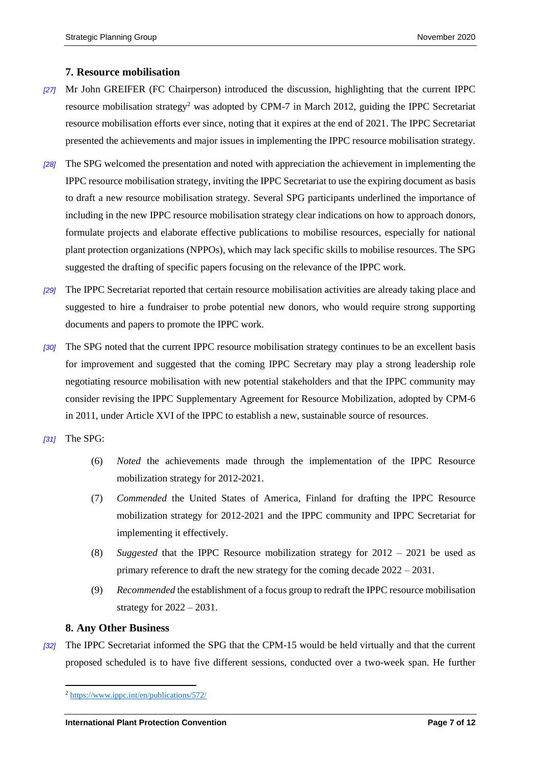#### **7. Resource mobilisation**

- *[27]* Mr John GREIFER (FC Chairperson) introduced the discussion, highlighting that the current IPPC resource mobilisation strategy<sup>2</sup> was adopted by CPM-7 in March 2012, guiding the IPPC Secretariat resource mobilisation efforts ever since, noting that it expires at the end of 2021. The IPPC Secretariat presented the achievements and major issues in implementing the IPPC resource mobilisation strategy.
- *[28]* The SPG welcomed the presentation and noted with appreciation the achievement in implementing the IPPC resource mobilisation strategy, inviting the IPPC Secretariat to use the expiring document as basis to draft a new resource mobilisation strategy. Several SPG participants underlined the importance of including in the new IPPC resource mobilisation strategy clear indications on how to approach donors, formulate projects and elaborate effective publications to mobilise resources, especially for national plant protection organizations (NPPOs), which may lack specific skills to mobilise resources. The SPG suggested the drafting of specific papers focusing on the relevance of the IPPC work.
- *[29]* The IPPC Secretariat reported that certain resource mobilisation activities are already taking place and suggested to hire a fundraiser to probe potential new donors, who would require strong supporting documents and papers to promote the IPPC work.
- *[30]* The SPG noted that the current IPPC resource mobilisation strategy continues to be an excellent basis for improvement and suggested that the coming IPPC Secretary may play a strong leadership role negotiating resource mobilisation with new potential stakeholders and that the IPPC community may consider revising the IPPC Supplementary Agreement for Resource Mobilization, adopted by CPM-6 in 2011, under Article XVI of the IPPC to establish a new, sustainable source of resources.
- *[31]* The SPG:
	- (6) *Noted* the achievements made through the implementation of the IPPC Resource mobilization strategy for 2012-2021.
	- (7) *Commended* the United States of America, Finland for drafting the IPPC Resource mobilization strategy for 2012-2021 and the IPPC community and IPPC Secretariat for implementing it effectively.
	- (8) *Suggested* that the IPPC Resource mobilization strategy for 2012 2021 be used as primary reference to draft the new strategy for the coming decade 2022 – 2031.
	- (9) *Recommended* the establishment of a focus group to redraft the IPPC resource mobilisation strategy for  $2022 - 2031$ .

#### **8. Any Other Business**

*[32]* The IPPC Secretariat informed the SPG that the CPM-15 would be held virtually and that the current proposed scheduled is to have five different sessions, conducted over a two-week span. He further

<sup>1</sup> <sup>2</sup> <https://www.ippc.int/en/publications/572/>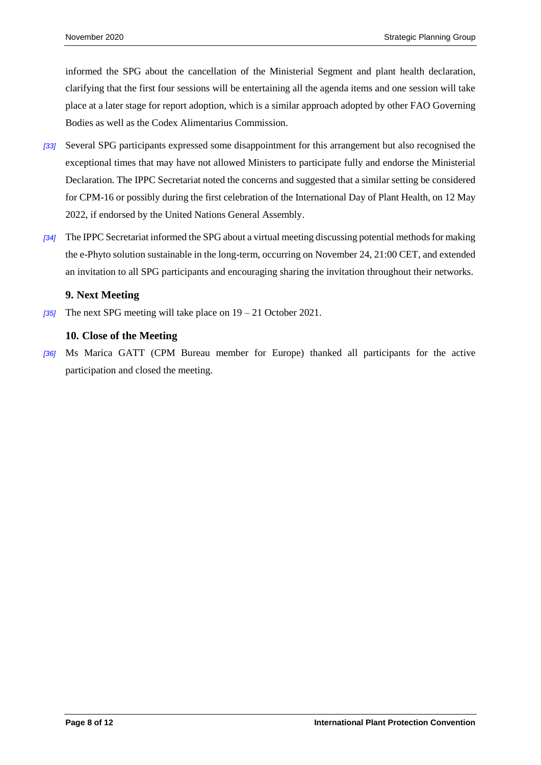informed the SPG about the cancellation of the Ministerial Segment and plant health declaration, clarifying that the first four sessions will be entertaining all the agenda items and one session will take place at a later stage for report adoption, which is a similar approach adopted by other FAO Governing Bodies as well as the Codex Alimentarius Commission.

- *[33]* Several SPG participants expressed some disappointment for this arrangement but also recognised the exceptional times that may have not allowed Ministers to participate fully and endorse the Ministerial Declaration. The IPPC Secretariat noted the concerns and suggested that a similar setting be considered for CPM-16 or possibly during the first celebration of the International Day of Plant Health, on 12 May 2022, if endorsed by the United Nations General Assembly.
- *[34]* The IPPC Secretariat informed the SPG about a virtual meeting discussing potential methods for making the e-Phyto solution sustainable in the long-term, occurring on November 24, 21:00 CET, and extended an invitation to all SPG participants and encouraging sharing the invitation throughout their networks.

#### **9. Next Meeting**

*[35]* The next SPG meeting will take place on 19 – 21 October 2021.

#### **10. Close of the Meeting**

*[36]* Ms Marica GATT (CPM Bureau member for Europe) thanked all participants for the active participation and closed the meeting.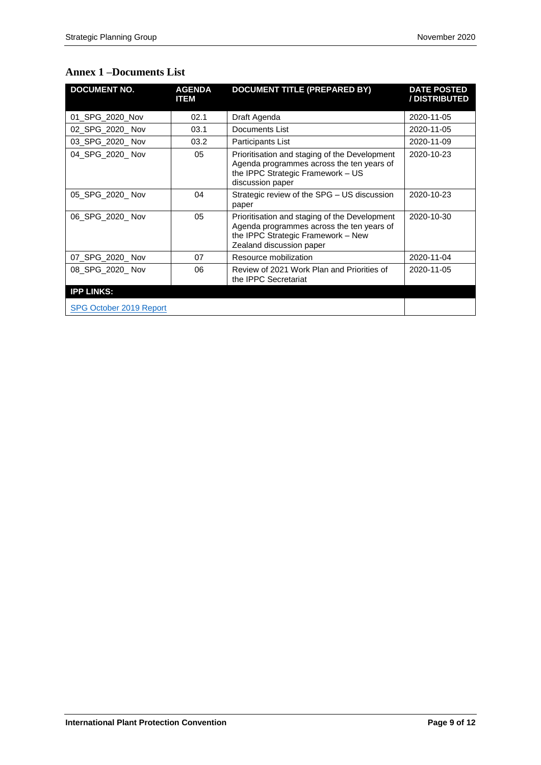| <b>DOCUMENT NO.</b>     | <b>AGENDA</b><br><b>ITEM</b> | <b>DOCUMENT TITLE (PREPARED BY)</b>                                                                                                                          | <b>DATE POSTED</b><br>/ DISTRIBUTED |
|-------------------------|------------------------------|--------------------------------------------------------------------------------------------------------------------------------------------------------------|-------------------------------------|
| 01 SPG 2020 Nov         | Draft Agenda<br>02.1         |                                                                                                                                                              | 2020-11-05                          |
| 02 SPG 2020 Nov         | 03.1                         | Documents List                                                                                                                                               | 2020-11-05                          |
| 03 SPG 2020 Nov         | 03.2                         | Participants List                                                                                                                                            | 2020-11-09                          |
| 04 SPG 2020 Nov         | 05                           | Prioritisation and staging of the Development<br>Agenda programmes across the ten years of<br>the IPPC Strategic Framework - US<br>discussion paper          | 2020-10-23                          |
| 05 SPG 2020 Nov         | 04                           | Strategic review of the SPG - US discussion<br>paper                                                                                                         | 2020-10-23                          |
| 06 SPG 2020 Nov         | 05                           | Prioritisation and staging of the Development<br>Agenda programmes across the ten years of<br>the IPPC Strategic Framework - New<br>Zealand discussion paper | 2020-10-30                          |
| 07 SPG 2020 Nov         | 07                           | Resource mobilization                                                                                                                                        | 2020-11-04                          |
| 08 SPG 2020 Nov         | 06                           | Review of 2021 Work Plan and Priorities of<br>the <b>IPPC</b> Secretariat                                                                                    | 2020-11-05                          |
| <b>IPP LINKS:</b>       |                              |                                                                                                                                                              |                                     |
| SPG October 2019 Report |                              |                                                                                                                                                              |                                     |

#### **Annex 1 –Documents List**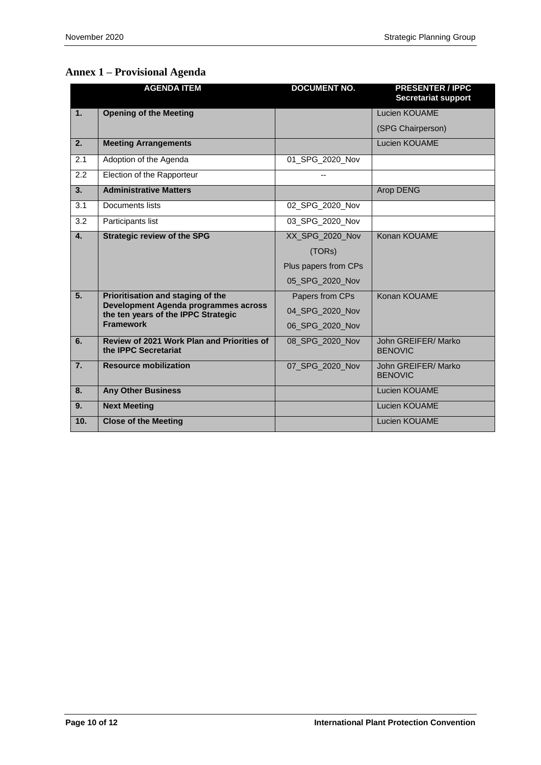#### **Annex 1 – Provisional Agenda**

|                  | <b>AGENDA ITEM</b>                                                               | <b>DOCUMENT NO.</b>  | <b>PRESENTER / IPPC</b><br><b>Secretariat support</b> |
|------------------|----------------------------------------------------------------------------------|----------------------|-------------------------------------------------------|
| 1.               | <b>Opening of the Meeting</b>                                                    |                      | Lucien KOUAME                                         |
|                  |                                                                                  |                      | (SPG Chairperson)                                     |
| 2.               | <b>Meeting Arrangements</b>                                                      |                      | <b>Lucien KOUAME</b>                                  |
| 2.1              | Adoption of the Agenda                                                           | 01_SPG_2020_Nov      |                                                       |
| 2.2              | Election of the Rapporteur                                                       |                      |                                                       |
| 3.               | <b>Administrative Matters</b>                                                    |                      | Arop DENG                                             |
| 3.1              | Documents lists                                                                  | 02 SPG 2020 Nov      |                                                       |
| 3.2              | Participants list                                                                | 03 SPG 2020 Nov      |                                                       |
| $\mathbf{4}$ .   | <b>Strategic review of the SPG</b>                                               | XX_SPG_2020_Nov      | Konan KOUAME                                          |
|                  |                                                                                  | (TORs)               |                                                       |
|                  |                                                                                  | Plus papers from CPs |                                                       |
|                  |                                                                                  | 05_SPG_2020_Nov      |                                                       |
| 5.               | Prioritisation and staging of the                                                | Papers from CPs      | Konan KOUAME                                          |
|                  | Development Agenda programmes across<br>the ten years of the IPPC Strategic      | 04 SPG 2020 Nov      |                                                       |
|                  | <b>Framework</b>                                                                 | 06 SPG 2020 Nov      |                                                       |
| 6.               | <b>Review of 2021 Work Plan and Priorities of</b><br>the <b>IPPC</b> Secretariat | 08 SPG_2020_Nov      | John GREIFER/ Marko<br><b>BENOVIC</b>                 |
| $\overline{7}$ . | <b>Resource mobilization</b>                                                     | 07 SPG 2020 Nov      | John GREIFER/ Marko<br><b>BENOVIC</b>                 |
| 8.               | <b>Any Other Business</b>                                                        |                      | Lucien KOUAME                                         |
| 9.               | <b>Next Meeting</b>                                                              |                      | Lucien KOUAME                                         |
| 10.              | <b>Close of the Meeting</b>                                                      |                      | <b>Lucien KOUAME</b>                                  |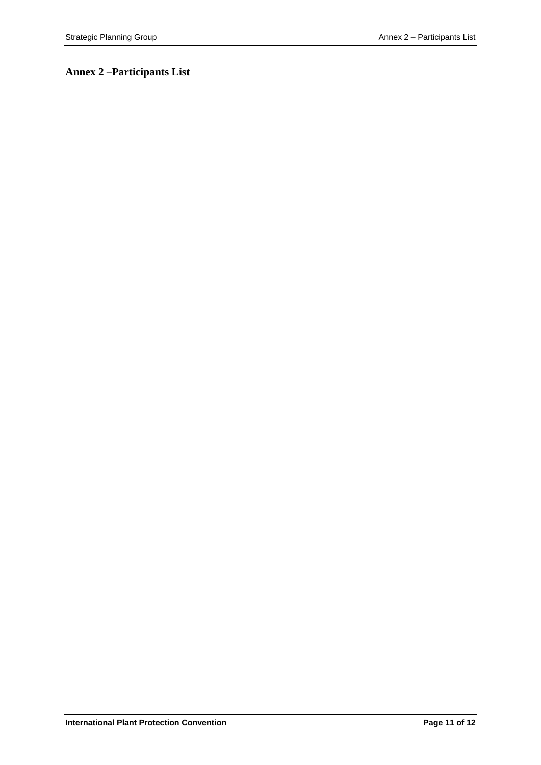### **Annex 2 –Participants List**